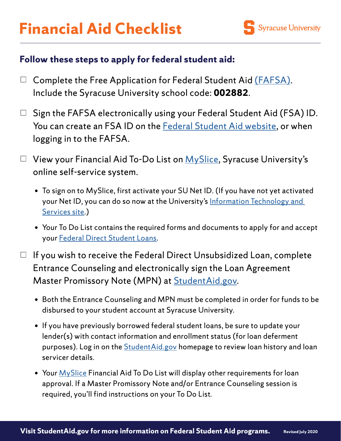## **Follow these steps to apply for federal student aid:**

- $\Box$  Complete the Free Application for Federal Student Aid [\(FAFSA\).](https://studentaid.gov/h/apply-for-aid/fafsa) Include the Syracuse University school code: **002882**.
- $\Box$  Sign the FAFSA electronically using your Federal Student Aid (FSA) ID. You can create an FSA ID on the [Federal Student Aid website](https://fsaid.ed.gov/npas/index.htm), or when logging in to the FAFSA.
- $\Box$  View your Financial Aid To-Do List on  $MySlice$ , Syracuse University's online self-service system.
	- To sign on to MySlice, first activate your SU Net ID. (If you have not yet activated your Net ID, you can do so now at the University's Information Technology and [Services site](https://selfserv.syr.edu/selfserv/home).)
	- Your To Do List contains the required forms and documents to apply for and accept your [Federal Direct Student Loans](https://www.syracuse.edu/admissions/cost-and-aid/types-of-aid/loans/educational/).
- $\Box$  If you wish to receive the Federal Direct Unsubsidized Loan, complete Entrance Counseling and electronically sign the Loan Agreement Master Promissory Note (MPN) at [StudentAid.gov](https://studentaid.gov/h/complete-aid-process).
	- Both the Entrance Counseling and MPN must be completed in order for funds to be disbursed to your student account at Syracuse University.
	- If you have previously borrowed federal student loans, be sure to update your lender(s) with contact information and enrollment status (for loan deferment purposes). Log in on the **StudentAid.gov** homepage to review loan history and loan servicer details.
	- Your [MySlice](https://myslice.ps.syr.edu/) Financial Aid To Do List will display other requirements for loan approval. If a Master Promissory Note and/or Entrance Counseling session is required, you'll find instructions on your To Do List.